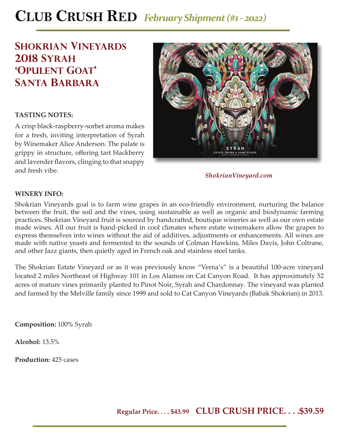# **CLUB CRUSH RED** *February Shipment (#1 - 2022)*

### **Shokrian Vineyards 2018 Syrah 'opulent goat' santa barbara**

### **TASTING NOTES:**

A crisp black-raspberry-sorbet aroma makes for a fresh, inviting interpretation of Syrah by Winemaker Alice Anderson. The palate is grippy in structure, offering tart blackberry and lavender flavors, clinging to that snappy and fresh vibe.



*ShokrianVineyard.com*

#### **WINERY INFO:**

Shokrian Vineyards goal is to farm wine grapes in an eco-friendly environment, nurturing the balance between the fruit, the soil and the vines, using sustainable as well as organic and biodynamic farming practices. Shokrian Vineyard fruit is sourced by handcrafted, boutique wineries as well as our own estate made wines. All our fruit is hand-picked in cool climates where estate winemakers allow the grapes to express themselves into wines without the aid of additives, adjustments or enhancements. All wines are made with native yeasts and fermented to the sounds of Colman Hawkins, Miles Davis, John Coltrane, and other Jazz giants, then quietly aged in French oak and stainless steel tanks.

The Shokrian Estate Vineyard or as it was previously know "Verna's" is a beautiful 100-acre vineyard located 2 miles Northeast of Highway 101 in Los Alamos on Cat Canyon Road. It has approximately 52 acres of mature vines primarily planted to Pinot Noir, Syrah and Chardonnay. The vineyard was planted and farmed by the Melville family since 1999 and sold to Cat Canyon Vineyards (Babak Shokrian) in 2013.

**Composition:** 100% Syrah

**Alcohol:** 13.5%

**Production:** 425 cases